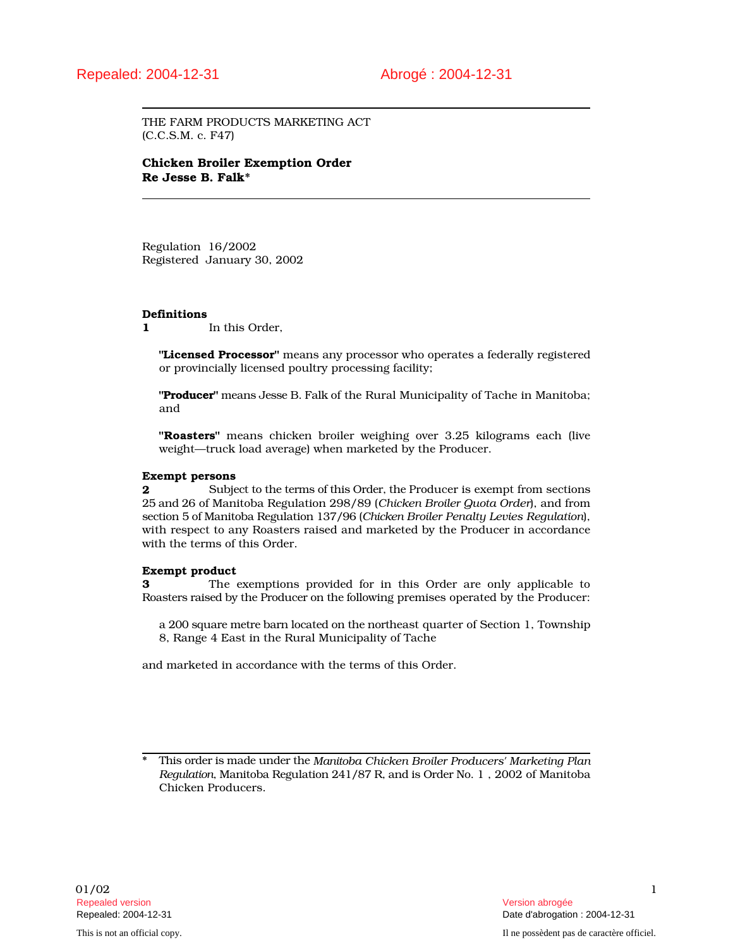THE FARM PRODUCTS MARKETING ACT (C.C.S.M. c. F47)

# Chicken Broiler Exemption Order Re Jesse B. Falk\*

Regulation 16/2002 Registered January 30, 2002

## Definitions

1 In this Order,

"Licensed Processor" means any processor who operates a federally registered or provincially licensed poultry processing facility;

"Producer" means Jesse B. Falk of the Rural Municipality of Tache in Manitoba; and

"Roasters" means chicken broiler weighing over 3.25 kilograms each (live weight—truck load average) when marketed by the Producer.

## Exempt persons

2 Subject to the terms of this Order, the Producer is exempt from sections 25 and 26 of Manitoba Regulation 298/89 (*Chicken Broiler Quota Order*), and from section 5 of Manitoba Regulation 137/96 (*Chicken Broiler Penalty Levies Regulation*), with respect to any Roasters raised and marketed by the Producer in accordance with the terms of this Order.

## Exempt product

3 The exemptions provided for in this Order are only applicable to Roasters raised by the Producer on the following premises operated by the Producer:

a 200 square metre barn located on the northeast quarter of Section 1, Township 8, Range 4 East in the Rural Municipality of Tache

and marketed in accordance with the terms of this Order.

<sup>\*</sup> This order is made under the *Manitoba Chicken Broiler Producers' Marketing Plan Regulation*, Manitoba Regulation 241/87 R, and is Order No. 1 , 2002 of Manitoba Chicken Producers.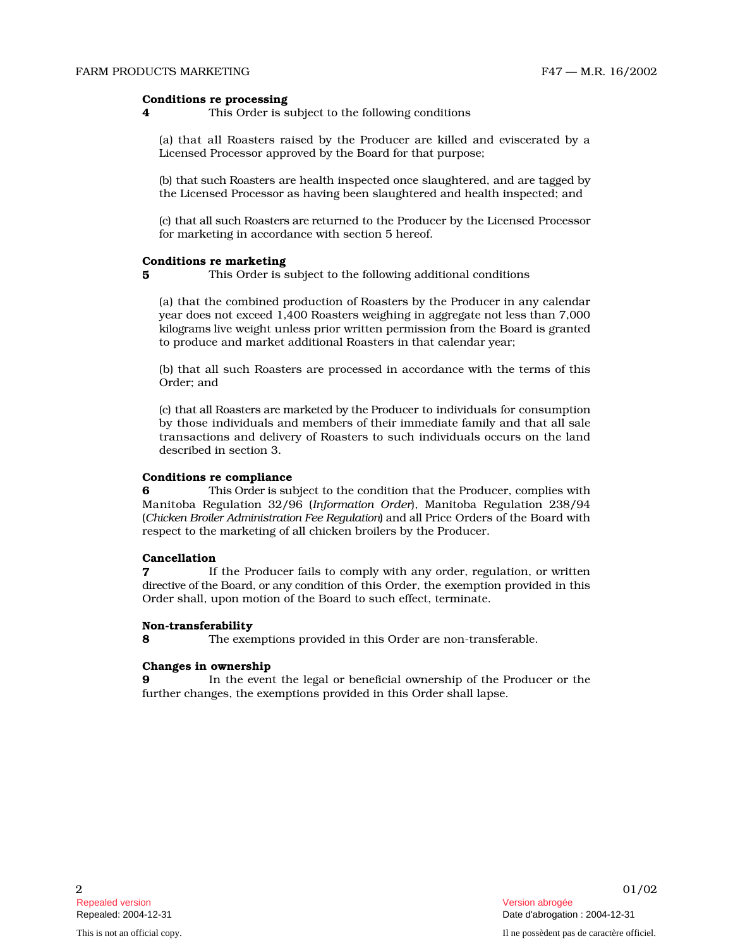#### Conditions re processing

4 This Order is subject to the following conditions

(a) that all Roasters raised by the Producer are killed and eviscerated by a Licensed Processor approved by the Board for that purpose;

(b) that such Roasters are health inspected once slaughtered, and are tagged by the Licensed Processor as having been slaughtered and health inspected; and

(c) that all such Roasters are returned to the Producer by the Licensed Processor for marketing in accordance with section 5 hereof.

# Conditions re marketing

5 This Order is subject to the following additional conditions

(a) that the combined production of Roasters by the Producer in any calendar year does not exceed 1,400 Roasters weighing in aggregate not less than 7,000 kil o grams live weight unless prior written permission from the Board is granted to produce and market additional Roasters in that calendar year;

(b) that all such Roasters are processed in accordance with the terms of this Order; and

(c) that all Roasters are marketed by the Producer to individuals for consumption by those individuals and members of their immediate family and that all sale transactions and delivery of Roasters to such individuals occurs on the land described in section 3.

#### Conditions re compliance

6 This Order is subject to the condition that the Producer, complies with Manitoba Regulation 32/96 (*Information Order*), Manitoba Regulation 238/94 (*Chicken Broiler Administration Fee Regulation*) and all Price Orders of the Board with respect to the marketing of all chicken broilers by the Producer.

#### Cancellation

**7** If the Producer fails to comply with any order, regulation, or written directive of the Board, or any condition of this Order, the exemption provided in this Order shall, upon motion of the Board to such effect, terminate.

#### Non-transferability

8 The exemptions provided in this Order are non-transferable.

#### Changes in ownership

**9** In the event the legal or beneficial ownership of the Producer or the further changes, the exemptions provided in this Order shall lapse.